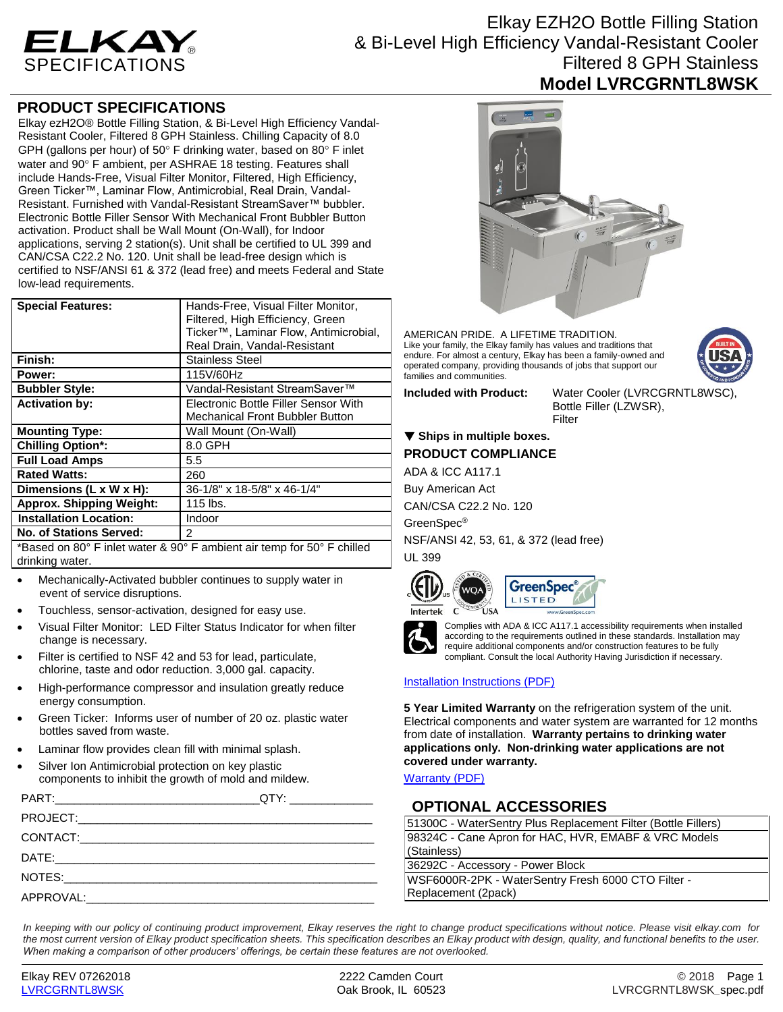

Elkay EZH2O Bottle Filling Station & Bi-Level High Efficiency Vandal-Resistant Cooler Filtered 8 GPH Stainless **Model LVRCGRNTL8WSK**

## **PRODUCT SPECIFICATIONS**

Elkay ezH2O® Bottle Filling Station, & Bi-Level High Efficiency Vandal-Resistant Cooler, Filtered 8 GPH Stainless. Chilling Capacity of 8.0 GPH (gallons per hour) of 50 $\degree$  F drinking water, based on 80 $\degree$  F inlet water and 90° F ambient, per ASHRAE 18 testing. Features shall include Hands-Free, Visual Filter Monitor, Filtered, High Efficiency, Green Ticker™, Laminar Flow, Antimicrobial, Real Drain, Vandal-Resistant. Furnished with Vandal-Resistant StreamSaver™ bubbler. Electronic Bottle Filler Sensor With Mechanical Front Bubbler Button activation. Product shall be Wall Mount (On-Wall), for Indoor applications, serving 2 station(s). Unit shall be certified to UL 399 and CAN/CSA C22.2 No. 120. Unit shall be lead-free design which is certified to NSF/ANSI 61 & 372 (lead free) and meets Federal and State low-lead requirements.

| <b>Special Features:</b>                                               | Hands-Free, Visual Filter Monitor,<br>Filtered, High Efficiency, Green<br>Ticker <sup>™</sup> , Laminar Flow, Antimicrobial,<br>Real Drain, Vandal-Resistant |
|------------------------------------------------------------------------|--------------------------------------------------------------------------------------------------------------------------------------------------------------|
| Finish:                                                                | <b>Stainless Steel</b>                                                                                                                                       |
| Power:                                                                 | 115V/60Hz                                                                                                                                                    |
| <b>Bubbler Style:</b>                                                  | Vandal-Resistant StreamSaver™                                                                                                                                |
| <b>Activation by:</b>                                                  | Electronic Bottle Filler Sensor With<br><b>Mechanical Front Bubbler Button</b>                                                                               |
| <b>Mounting Type:</b>                                                  | Wall Mount (On-Wall)                                                                                                                                         |
| <b>Chilling Option*:</b>                                               | 8.0 GPH                                                                                                                                                      |
| <b>Full Load Amps</b>                                                  | 5.5                                                                                                                                                          |
| <b>Rated Watts:</b>                                                    | 260                                                                                                                                                          |
| Dimensions (L x W x H):                                                | 36-1/8" x 18-5/8" x 46-1/4"                                                                                                                                  |
| <b>Approx. Shipping Weight:</b>                                        | 115 lbs.                                                                                                                                                     |
| <b>Installation Location:</b>                                          | Indoor                                                                                                                                                       |
| <b>No. of Stations Served:</b>                                         | $\mathcal{P}$                                                                                                                                                |
| *Based on 80° F inlet water & 90° F ambient air temp for 50° F chilled |                                                                                                                                                              |

drinking water.

- Mechanically-Activated bubbler continues to supply water in event of service disruptions.
- Touchless, sensor-activation, designed for easy use.
- Visual Filter Monitor: LED Filter Status Indicator for when filter change is necessary.
- Filter is certified to NSF 42 and 53 for lead, particulate, chlorine, taste and odor reduction. 3,000 gal. capacity.
- High-performance compressor and insulation greatly reduce energy consumption.
- Green Ticker: Informs user of number of 20 oz. plastic water bottles saved from waste.
- Laminar flow provides clean fill with minimal splash.
- Silver Ion Antimicrobial protection on key plastic components to inhibit the growth of mold and mildew.

|                     | QTY: ________________ |
|---------------------|-----------------------|
|                     |                       |
|                     |                       |
|                     |                       |
|                     |                       |
| APPROVAL: APPROVAL: |                       |
|                     |                       |



AMERICAN PRIDE. A LIFETIME TRADITION. Like your family, the Elkay family has values and traditions that endure. For almost a century, Elkay has been a family-owned and operated company, providing thousands of jobs that support our families and communities.

**Included with Product:** Water Cooler (LVRCGRNTL8WSC),

### Bottle Filler (LZWSR), Filter

### **Ships in multiple boxes. PRODUCT COMPLIANCE**

ADA & ICC A117.1

Buy American Act

CAN/CSA C22.2 No. 120

GreenSpec®

NSF/ANSI 42, 53, 61, & 372 (lead free) UL 399







Complies with ADA & ICC A117.1 accessibility requirements when installed according to the requirements outlined in these standards. Installation may require additional components and/or construction features to be fully compliant. Consult the local Authority Having Jurisdiction if necessary.

#### [Installation Instructions \(PDF\)](http://www.elkay.com/wcsstore/lkdocs/care-cleaning-install-warranty-sheets/1000001742.pdf)

**5 Year Limited Warranty** on the refrigeration system of the unit. Electrical components and water system are warranted for 12 months from date of installation. **Warranty pertains to drinking water applications only. Non-drinking water applications are not covered under warranty.**

[Warranty](http://www.elkay.com/wcsstore/lkdocs/care-cleaning-install-warranty-sheets/96993c.pdf) (PDF)

## **OPTIONAL ACCESSORIES**

| 51300C - WaterSentry Plus Replacement Filter (Bottle Fillers) |  |
|---------------------------------------------------------------|--|
| 98324C - Cane Apron for HAC, HVR, EMABF & VRC Models          |  |
| (Stainless)                                                   |  |
| 36292C - Accessory - Power Block                              |  |
| WSF6000R-2PK - WaterSentry Fresh 6000 CTO Filter -            |  |
| Replacement (2pack)                                           |  |
|                                                               |  |

*In keeping with our policy of continuing product improvement, Elkay reserves the right to change product specifications without notice. Please visit elkay.com for the most current version of Elkay product specification sheets. This specification describes an Elkay product with design, quality, and functional benefits to the user. When making a comparison of other producers' offerings, be certain these features are not overlooked.*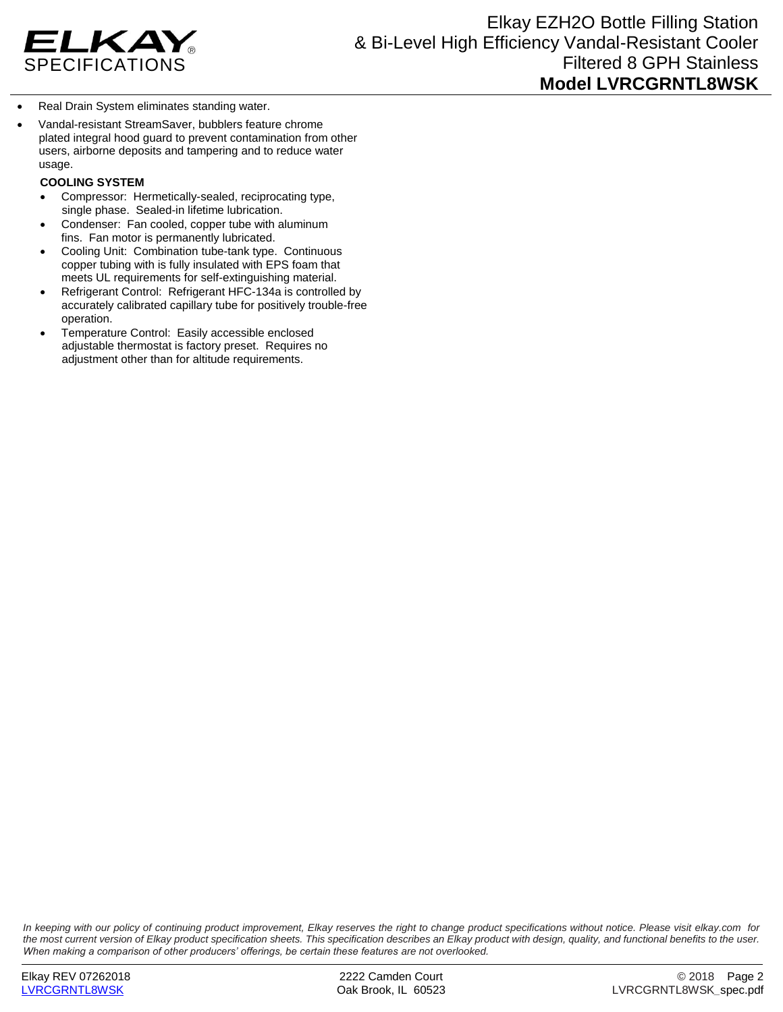

- Real Drain System eliminates standing water.
- Vandal-resistant StreamSaver, bubblers feature chrome plated integral hood guard to prevent contamination from other users, airborne deposits and tampering and to reduce water usage.

#### **COOLING SYSTEM**

- Compressor: Hermetically-sealed, reciprocating type, single phase. Sealed-in lifetime lubrication.
- Condenser: Fan cooled, copper tube with aluminum fins. Fan motor is permanently lubricated.
- Cooling Unit: Combination tube-tank type. Continuous copper tubing with is fully insulated with EPS foam that meets UL requirements for self-extinguishing material.
- Refrigerant Control: Refrigerant HFC-134a is controlled by accurately calibrated capillary tube for positively trouble-free operation.
- Temperature Control: Easily accessible enclosed adjustable thermostat is factory preset. Requires no adjustment other than for altitude requirements.

*In keeping with our policy of continuing product improvement, Elkay reserves the right to change product specifications without notice. Please visit elkay.com for the most current version of Elkay product specification sheets. This specification describes an Elkay product with design, quality, and functional benefits to the user. When making a comparison of other producers' offerings, be certain these features are not overlooked.*